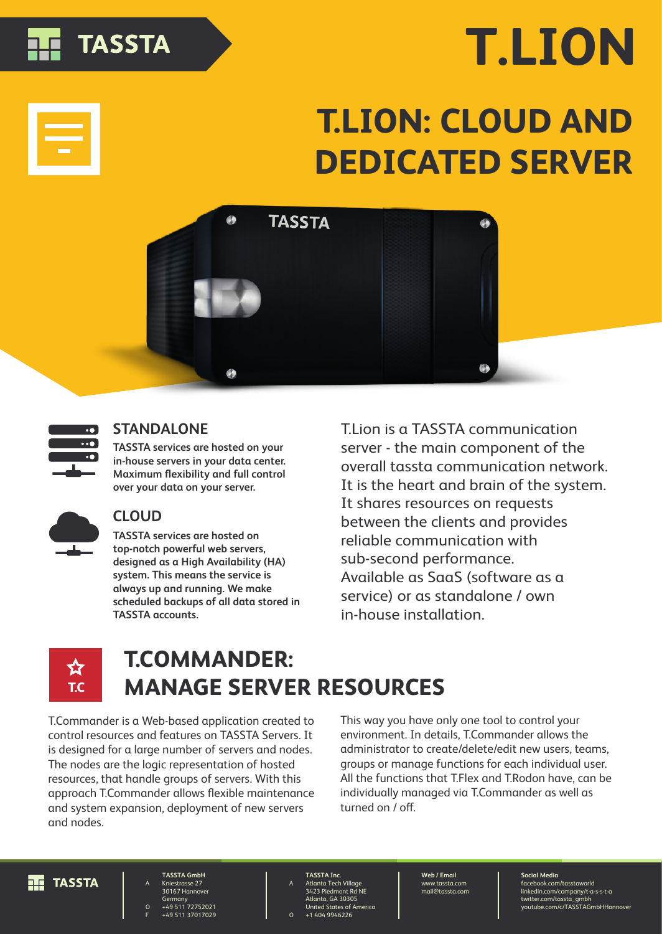# **TASSTA**

# **T.LION**

# **T.LION: CLOUD AND DEDICATED SERVER**





## **STANDALONE**

**TASSTA services are hosted on your in-house servers in your data center. Maximum flexibility and full control over your data on your server.**



### **CLOUD**

**TASSTA services are hosted on top-notch powerful web servers, designed as a High Availability (HA) system. This means the service is always up and running. We make scheduled backups of all data stored in TASSTA accounts.**

T.Lion is a TASSTA communication server - the main component of the overall tassta communication network. It is the heart and brain of the system. It shares resources on requests between the clients and provides reliable communication with sub-second performance. Available as SaaS (software as a service) or as standalone / own in-house installation.



# **T.COMMANDER: MANAGE SERVER RESOURCES**

T.Commander is a Web-based application created to control resources and features on TASSTA Servers. It is designed for a large number of servers and nodes. The nodes are the logic representation of hosted resources, that handle groups of servers. With this approach T.Commander allows flexible maintenance and system expansion, deployment of new servers and nodes.

This way you have only one tool to control your environment. In details, T.Commander allows the administrator to create/delete/edit new users, teams, groups or manage functions for each individual user. All the functions that T.Flex and T.Rodon have, can be individually managed via T.Commander as well as turned on  $/$  off.



**TASSTA GmbH** Kniestrasse 27 30167 Hannover Germany +49 511 72752021 +49 511 37017029

A

O F A O **TASSTA Inc.** Atlanta Tech Village 3423 Piedmont Rd NE Atlanta, GA 30305 United States of America +1 404 9946226

**Web / Email** www.tassta.com mail@tassta.com **Social Media** facebook.com/tasstaworld linkedin.com/company/t-a-s-s-t-a twitter.com/tassta\_gmbh youtube.com/c/TASSTAGmbHHannover